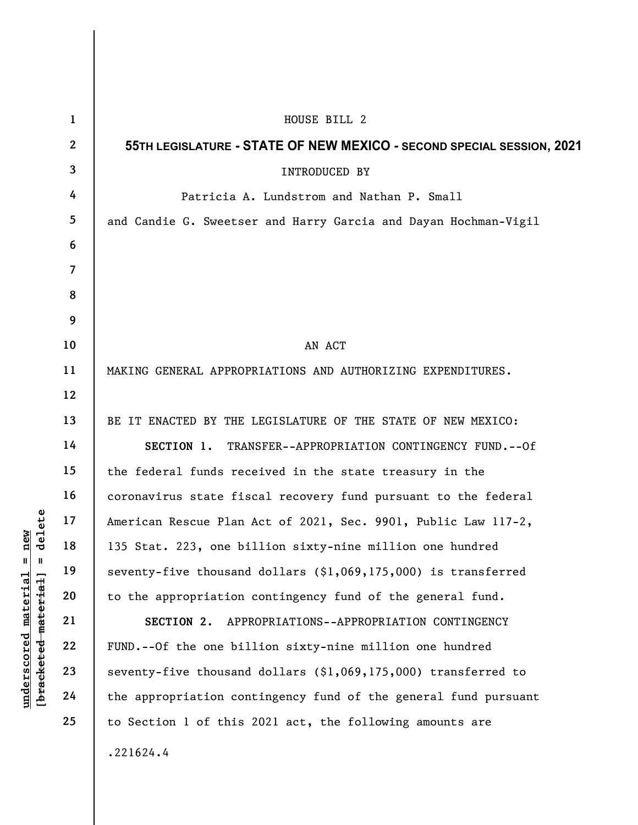underscored material = new [bracketed material] = delete 1 2 3 4 5 6 7 8 9 10 11 12 13 14 15 16 17 18 19 20 21 22 23 24 25 HOUSE BILL 2 55TH LEGISLATURE - STATE OF NEW MEXICO - SECOND SPECIAL SESSION, 2021 INTRODUCED BY Patricia A. Lundstrom and Nathan P. Small and Candie G. Sweetser and Harry Garcia and Dayan Hochman-Vigil AN ACT MAKING GENERAL APPROPRIATIONS AND AUTHORIZING EXPENDITURES. BE IT ENACTED BY THE LEGISLATURE OF THE STATE OF NEW MEXICO: SECTION 1. TRANSFER--APPROPRIATION CONTINGENCY FUND.--Of the federal funds received in the state treasury in the coronavirus state fiscal recovery fund pursuant to the federal American Rescue Plan Act of 2021, Sec. 9901, Public Law 117-2, 135 Stat. 223, one billion sixty-nine million one hundred seventy-five thousand dollars (\$1,069,175,000) is transferred to the appropriation contingency fund of the general fund. SECTION 2. APPROPRIATIONS--APPROPRIATION CONTINGENCY FUND.--Of the one billion sixty-nine million one hundred seventy-five thousand dollars (\$1,069,175,000) transferred to the appropriation contingency fund of the general fund pursuant to Section 1 of this 2021 act, the following amounts are .221624.4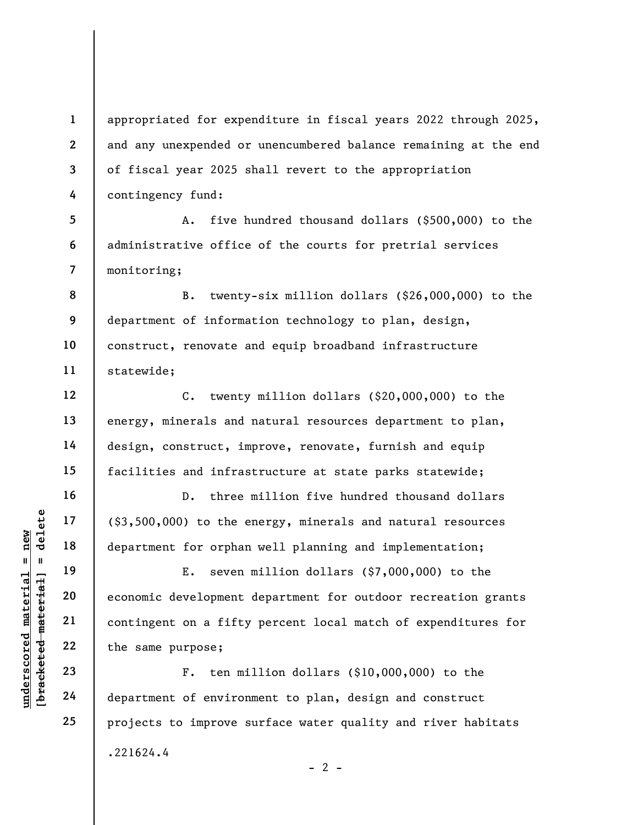appropriated for expenditure in fiscal years 2022 through 2025, and any unexpended or unencumbered balance remaining at the end of fiscal year 2025 shall revert to the appropriation contingency fund:

5 6 7 A. five hundred thousand dollars (\$500,000) to the administrative office of the courts for pretrial services monitoring;

8 9 10 11 B. twenty-six million dollars (\$26,000,000) to the department of information technology to plan, design, construct, renovate and equip broadband infrastructure statewide;

C. twenty million dollars (\$20,000,000) to the energy, minerals and natural resources department to plan, design, construct, improve, renovate, furnish and equip facilities and infrastructure at state parks statewide;

D. three million five hundred thousand dollars (\$3,500,000) to the energy, minerals and natural resources department for orphan well planning and implementation;

underscores and the same purpose;<br>
understand material experience of exament for orphannels in the department for orphannels of the same purpose;<br>
understand a fifty<br>
understand 22<br>
understand 24<br>
understand department of E. seven million dollars (\$7,000,000) to the economic development department for outdoor recreation grants contingent on a fifty percent local match of expenditures for the same purpose;

F. ten million dollars (\$10,000,000) to the department of environment to plan, design and construct projects to improve surface water quality and river habitats .221624.4  $- 2 -$ 

1

2

3

4

12

13

14

15

16

17

18

19

20

21

22

23

24

25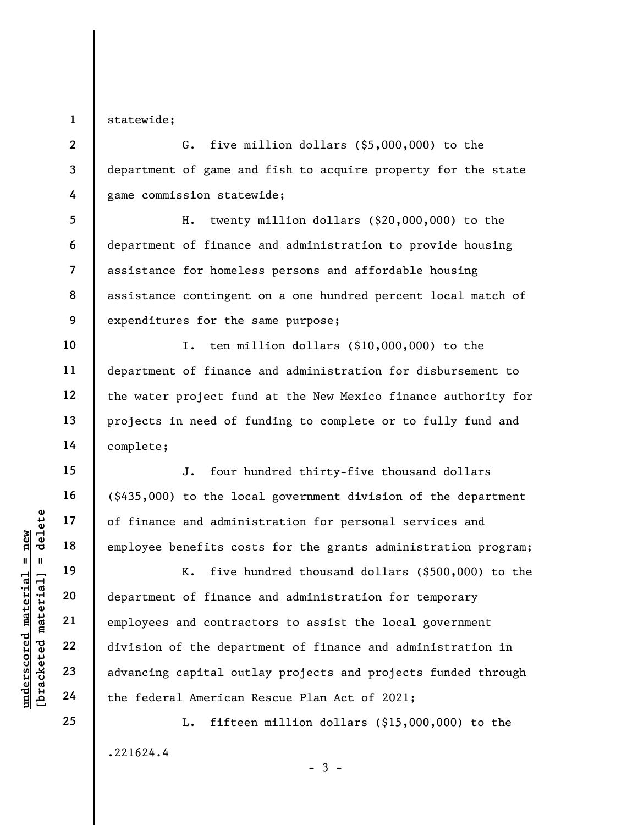1 statewide;

2 3 4 G. five million dollars (\$5,000,000) to the department of game and fish to acquire property for the state game commission statewide;

5 6 7 8 9 H. twenty million dollars (\$20,000,000) to the department of finance and administration to provide housing assistance for homeless persons and affordable housing assistance contingent on a one hundred percent local match of expenditures for the same purpose;

I. ten million dollars (\$10,000,000) to the department of finance and administration for disbursement to the water project fund at the New Mexico finance authority for projects in need of funding to complete or to fully fund and complete;

J. four hundred thirty-five thousand dollars (\$435,000) to the local government division of the department of finance and administration for personal services and employee benefits costs for the grants administration program;

understand material material material employee benefits costs.<br>
The material employee benefits costs ive html employee benefits costs ive html<br>
department of finance<br>
employees and contract employees and contract<br>
22<br>
divi K. five hundred thousand dollars (\$500,000) to the department of finance and administration for temporary employees and contractors to assist the local government division of the department of finance and administration in advancing capital outlay projects and projects funded through the federal American Rescue Plan Act of 2021;

> L. fifteen million dollars (\$15,000,000) to the .221624.4  $-3 -$

10

11

12

13

14

15

16

17

18

19

20

21

22

23

24

25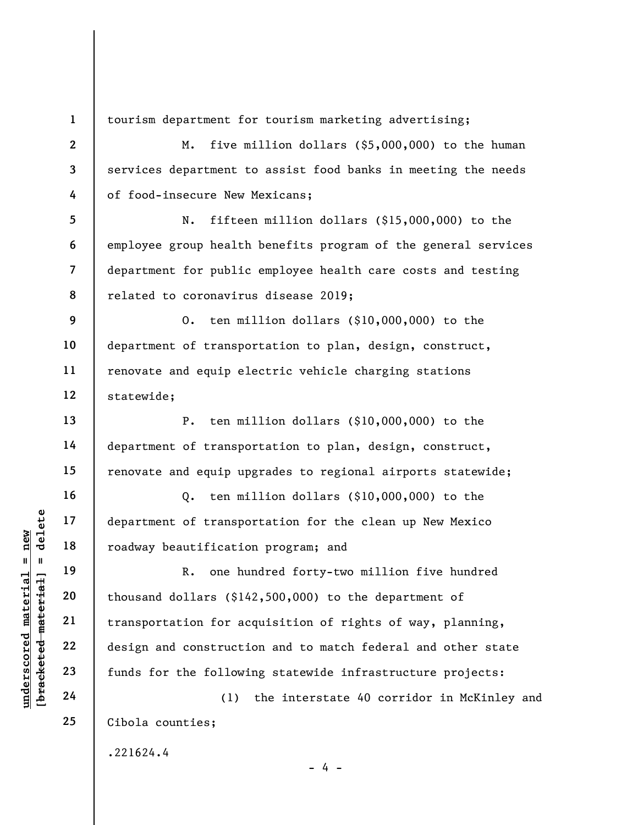1 2

3

4

13

14

15

16

17

18

19

20

21

22

23

24

25

tourism department for tourism marketing advertising;

M. five million dollars (\$5,000,000) to the human services department to assist food banks in meeting the needs of food-insecure New Mexicans;

5 6 7 8 N. fifteen million dollars (\$15,000,000) to the employee group health benefits program of the general services department for public employee health care costs and testing related to coronavirus disease 2019;

9 10 11 12 O. ten million dollars (\$10,000,000) to the department of transportation to plan, design, construct, renovate and equip electric vehicle charging stations statewide;

P. ten million dollars (\$10,000,000) to the department of transportation to plan, design, construct, renovate and equip upgrades to regional airports statewide;

Q. ten million dollars (\$10,000,000) to the department of transportation for the clean up New Mexico roadway beautification program; and

understand to transport of transportant of transportant of transportant of transportant in the material of the sole of the sole of the sole of the sole of the sole of the sole of the sole of the sole of the sole of the sol R. one hundred forty-two million five hundred thousand dollars (\$142,500,000) to the department of transportation for acquisition of rights of way, planning, design and construction and to match federal and other state funds for the following statewide infrastructure projects:

(1) the interstate 40 corridor in McKinley and Cibola counties;

 $- 4 -$ 

.221624.4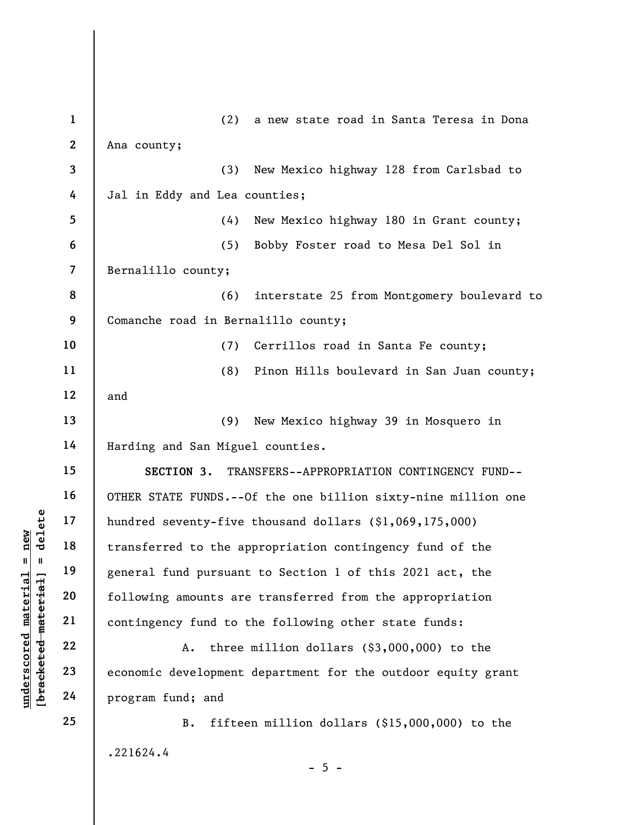|                                                           | $\mathbf{1}$ | (2)<br>a new state road in Santa Teresa in Dona               |
|-----------------------------------------------------------|--------------|---------------------------------------------------------------|
|                                                           | $\mathbf{2}$ | Ana county;                                                   |
|                                                           | 3            | (3)<br>New Mexico highway 128 from Carlsbad to                |
|                                                           | 4            | Jal in Eddy and Lea counties;                                 |
|                                                           | 5            | (4)<br>New Mexico highway 180 in Grant county;                |
|                                                           | 6            | (5)<br>Bobby Foster road to Mesa Del Sol in                   |
|                                                           | 7            | Bernalillo county;                                            |
|                                                           | 8            | (6)<br>interstate 25 from Montgomery boulevard to             |
|                                                           | 9            | Comanche road in Bernalillo county;                           |
|                                                           | 10           | (7)<br>Cerrillos road in Santa Fe county;                     |
|                                                           | 11           | (8)<br>Pinon Hills boulevard in San Juan county;              |
|                                                           | 12           | and                                                           |
|                                                           | 13           | (9)<br>New Mexico highway 39 in Mosquero in                   |
|                                                           | 14           | Harding and San Miguel counties.                              |
|                                                           | 15           | SECTION 3.<br>TRANSFERS--APPROPRIATION CONTINGENCY FUND--     |
|                                                           | 16           | OTHER STATE FUNDS.--Of the one billion sixty-nine million one |
| delete                                                    | 17           | hundred seventy-five thousand dollars (\$1,069,175,000)       |
| $n$ ew<br>$\mathbf{II}$<br>$\mathbf{u}$                   | 18           | transferred to the appropriation contingency fund of the      |
|                                                           | 19           | general fund pursuant to Section 1 of this 2021 act, the      |
|                                                           | 20           | following amounts are transferred from the appropriation      |
| underscored material<br>[ <del>bracketed material</del> ] | 21           | contingency fund to the following other state funds:          |
|                                                           | 22           | three million dollars $(§3,000,000)$ to the<br>Α.             |
|                                                           | 23           | economic development department for the outdoor equity grant  |
|                                                           | 24           | program fund; and                                             |
|                                                           | 25           | fifteen million dollars (\$15,000,000) to the<br><b>B.</b>    |
|                                                           |              | .221624.4                                                     |

 $- 5 -$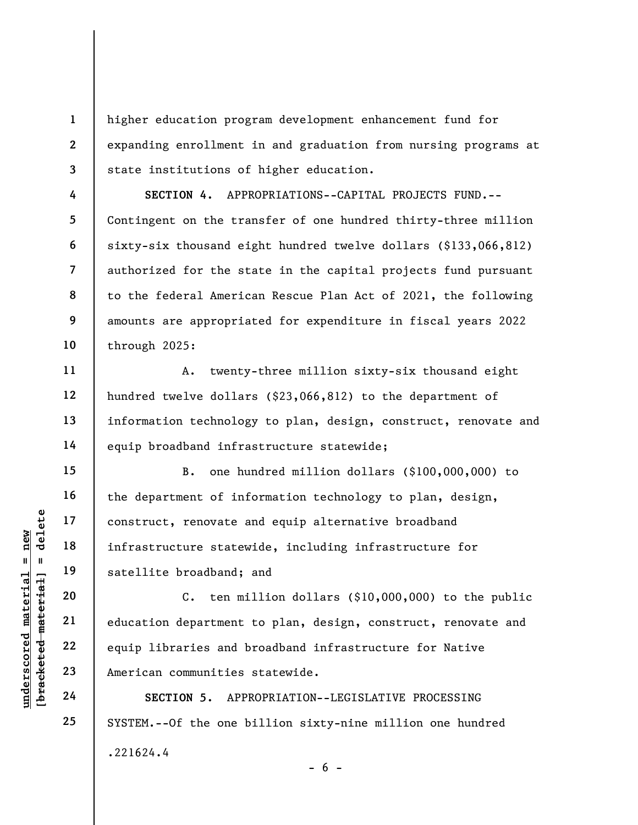higher education program development enhancement fund for expanding enrollment in and graduation from nursing programs at state institutions of higher education.

SECTION 4. APPROPRIATIONS--CAPITAL PROJECTS FUND.-- Contingent on the transfer of one hundred thirty-three million sixty-six thousand eight hundred twelve dollars (\$133,066,812) authorized for the state in the capital projects fund pursuant to the federal American Rescue Plan Act of 2021, the following amounts are appropriated for expenditure in fiscal years 2022 through 2025:

A. twenty-three million sixty-six thousand eight hundred twelve dollars (\$23,066,812) to the department of information technology to plan, design, construct, renovate and equip broadband infrastructure statewide;

B. one hundred million dollars (\$100,000,000) to the department of information technology to plan, design, construct, renovate and equip alternative broadband infrastructure statewide, including infrastructure for satellite broadband; and

underscored material equiplering and the set of the set of the set of the set of the set of the set of the set of the set of the set of the set of the set of the set of the set of the set of the set of the set of the set o C. ten million dollars (\$10,000,000) to the public education department to plan, design, construct, renovate and equip libraries and broadband infrastructure for Native American communities statewide.

SECTION 5. APPROPRIATION--LEGISLATIVE PROCESSING SYSTEM.--Of the one billion sixty-nine million one hundred .221624.4  $- 6 -$ 

1

2

3

4

5

6

7

8

9

10

11

12

13

14

15

16

17

18

19

20

21

22

23

24

25